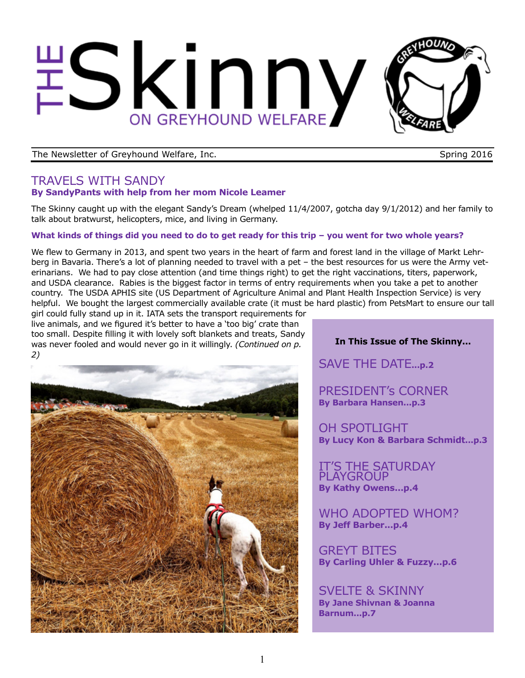# Skinny ON GREYHOUND WELFARE

The Newsletter of Greyhound Welfare, Inc. Spring 2016

## TRAVELS WITH SANDY **By SandyPants with help from her mom Nicole Leamer**

The Skinny caught up with the elegant Sandy's Dream (whelped 11/4/2007, gotcha day 9/1/2012) and her family to talk about bratwurst, helicopters, mice, and living in Germany.

## **What kinds of things did you need to do to get ready for this trip – you went for two whole years?**

We flew to Germany in 2013, and spent two years in the heart of farm and forest land in the village of Markt Lehrberg in Bavaria. There's a lot of planning needed to travel with a pet – the best resources for us were the Army veterinarians. We had to pay close attention (and time things right) to get the right vaccinations, titers, paperwork, and USDA clearance. Rabies is the biggest factor in terms of entry requirements when you take a pet to another country. The USDA APHIS site (US Department of Agriculture Animal and Plant Health Inspection Service) is very helpful. We bought the largest commercially available crate (it must be hard plastic) from PetsMart to ensure our tall

girl could fully stand up in it. IATA sets the transport requirements for live animals, and we figured it's better to have a 'too big' crate than too small. Despite filling it with lovely soft blankets and treats, Sandy was never fooled and would never go in it willingly. *(Continued on p. 2)*



## **In This Issue of The Skinny...**

SAVE THE DATE**...p.2**

PRESIDENT's CORNER **By Barbara Hansen...p.3**

OH SPOTLIGHT **By Lucy Kon & Barbara Schmidt...p.3**

IT'S THE SATURDAY PLAYGROUP **By Kathy Owens...p.4**

WHO ADOPTED WHOM? **By Jeff Barber...p.4**

GREYT BITES **By Carling Uhler & Fuzzy...p.6**

SVELTE & SKINNY **By Jane Shivnan & Joanna Barnum...p.7**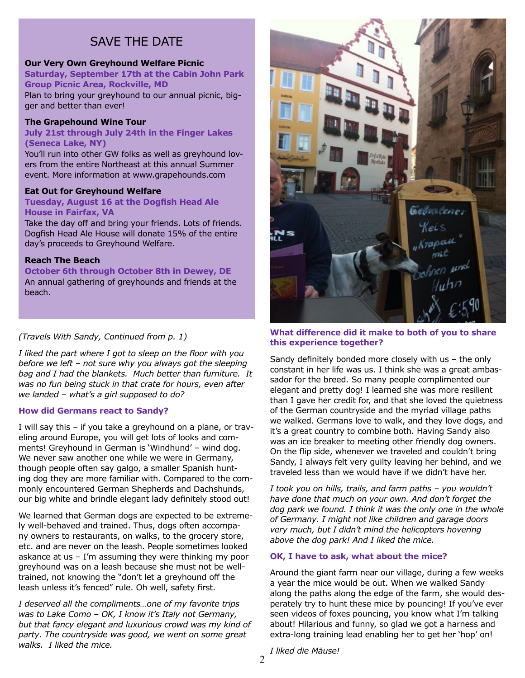## SAVE THE DATE

## **Our Very Own Greyhound Welfare Picnic**

**Saturday, September 17th at the Cabin John Park Group Picnic Area, Rockville, MD**  Plan to bring your greyhound to our annual picnic, big-

ger and better than ever!

#### **The Grapehound Wine Tour**

**July 21st through July 24th in the Finger Lakes (Seneca Lake, NY)**

You'll run into other GW folks as well as greyhound lovers from the entire Northeast at this annual Summer event. More information at www.grapehounds.com

#### **Eat Out for Greyhound Welfare**

**Tuesday, August 16 at the Dogfish Head Ale House in Fairfax, VA**

Take the day off and bring your friends. Lots of friends. Dogfish Head Ale House will donate 15% of the entire day's proceeds to Greyhound Welfare.

#### **Reach The Beach**

**October 6th through October 8th in Dewey, DE** An annual gathering of greyhounds and friends at the beach.

## *(Travels With Sandy, Continued from p. 1)*

*I liked the part where I got to sleep on the floor with you before we left – not sure why you always got the sleeping bag and I had the blankets. Much better than furniture. It was no fun being stuck in that crate for hours, even after we landed – what's a girl supposed to do?*

#### **How did Germans react to Sandy?**

I will say this – if you take a greyhound on a plane, or traveling around Europe, you will get lots of looks and comments! Greyhound in German is 'Windhund' – wind dog. We never saw another one while we were in Germany, though people often say galgo, a smaller Spanish hunting dog they are more familiar with. Compared to the commonly encountered German Shepherds and Dachshunds, our big white and brindle elegant lady definitely stood out!

We learned that German dogs are expected to be extremely well-behaved and trained. Thus, dogs often accompany owners to restaurants, on walks, to the grocery store, etc. and are never on the leash. People sometimes looked askance at us – I'm assuming they were thinking my poor greyhound was on a leash because she must not be welltrained, not knowing the "don't let a greyhound off the leash unless it's fenced" rule. Oh well, safety first.

*I deserved all the compliments…one of my favorite trips was to Lake Como – OK, I know it's Italy not Germany, but that fancy elegant and luxurious crowd was my kind of party. The countryside was good, we went on some great walks. I liked the mice.*



#### **What difference did it make to both of you to share this experience together?**

Sandy definitely bonded more closely with us – the only constant in her life was us. I think she was a great ambassador for the breed. So many people complimented our elegant and pretty dog! I learned she was more resilient than I gave her credit for, and that she loved the quietness of the German countryside and the myriad village paths we walked. Germans love to walk, and they love dogs, and it's a great country to combine both. Having Sandy also was an ice breaker to meeting other friendly dog owners. On the flip side, whenever we traveled and couldn't bring Sandy, I always felt very guilty leaving her behind, and we traveled less than we would have if we didn't have her.

*I took you on hills, trails, and farm paths – you wouldn't have done that much on your own. And don't forget the dog park we found. I think it was the only one in the whole of Germany. I might not like children and garage doors very much, but I didn't mind the helicopters hovering above the dog park! And I liked the mice.*

#### **OK, I have to ask, what about the mice?**

Around the giant farm near our village, during a few weeks a year the mice would be out. When we walked Sandy along the paths along the edge of the farm, she would desperately try to hunt these mice by pouncing! If you've ever seen videos of foxes pouncing, you know what I'm talking about! Hilarious and funny, so glad we got a harness and extra-long training lead enabling her to get her 'hop' on!

*I liked die Mäuse!*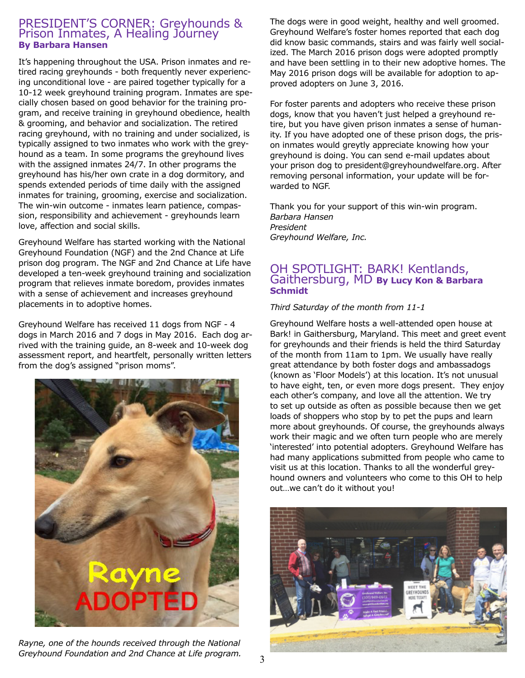## PRESIDENT'S CORNER: Greyhounds & Prison Inmates, A Healing Jóurney **By Barbara Hansen**

It's happening throughout the USA. Prison inmates and retired racing greyhounds - both frequently never experiencing unconditional love - are paired together typically for a 10-12 week greyhound training program. Inmates are specially chosen based on good behavior for the training program, and receive training in greyhound obedience, health & grooming, and behavior and socialization. The retired racing greyhound, with no training and under socialized, is typically assigned to two inmates who work with the greyhound as a team. In some programs the greyhound lives with the assigned inmates 24/7. In other programs the greyhound has his/her own crate in a dog dormitory, and spends extended periods of time daily with the assigned inmates for training, grooming, exercise and socialization. The win-win outcome - inmates learn patience, compassion, responsibility and achievement - greyhounds learn love, affection and social skills.

Greyhound Welfare has started working with the National Greyhound Foundation (NGF) and the 2nd Chance at Life prison dog program. The NGF and 2nd Chance at Life have developed a ten-week greyhound training and socialization program that relieves inmate boredom, provides inmates with a sense of achievement and increases greyhound placements in to adoptive homes.

Greyhound Welfare has received 11 dogs from NGF - 4 dogs in March 2016 and 7 dogs in May 2016. Each dog arrived with the training guide, an 8-week and 10-week dog assessment report, and heartfelt, personally written letters from the dog's assigned "prison moms".



*Rayne, one of the hounds received through the National Greyhound Foundation and 2nd Chance at Life program.* 

The dogs were in good weight, healthy and well groomed. Greyhound Welfare's foster homes reported that each dog did know basic commands, stairs and was fairly well socialized. The March 2016 prison dogs were adopted promptly and have been settling in to their new adoptive homes. The May 2016 prison dogs will be available for adoption to approved adopters on June 3, 2016.

For foster parents and adopters who receive these prison dogs, know that you haven't just helped a greyhound retire, but you have given prison inmates a sense of humanity. If you have adopted one of these prison dogs, the prison inmates would greytly appreciate knowing how your greyhound is doing. You can send e-mail updates about your prison dog to president@greyhoundwelfare.org. After removing personal information, your update will be forwarded to NGF.

Thank you for your support of this win-win program. *Barbara Hansen President Greyhound Welfare, Inc.*

## OH SPOTLIGHT: BARK! Kentlands, Gaithersburg, MD **By Lucy Kon & Barbara Schmidt**

## *Third Saturday of the month from 11-1*

Greyhound Welfare hosts a well-attended open house at Bark! in Gaithersburg, Maryland. This meet and greet event for greyhounds and their friends is held the third Saturday of the month from 11am to 1pm. We usually have really great attendance by both foster dogs and ambassadogs (known as 'Floor Models') at this location. It's not unusual to have eight, ten, or even more dogs present. They enjoy each other's company, and love all the attention. We try to set up outside as often as possible because then we get loads of shoppers who stop by to pet the pups and learn more about greyhounds. Of course, the greyhounds always work their magic and we often turn people who are merely 'interested' into potential adopters. Greyhound Welfare has had many applications submitted from people who came to visit us at this location. Thanks to all the wonderful greyhound owners and volunteers who come to this OH to help out…we can't do it without you!

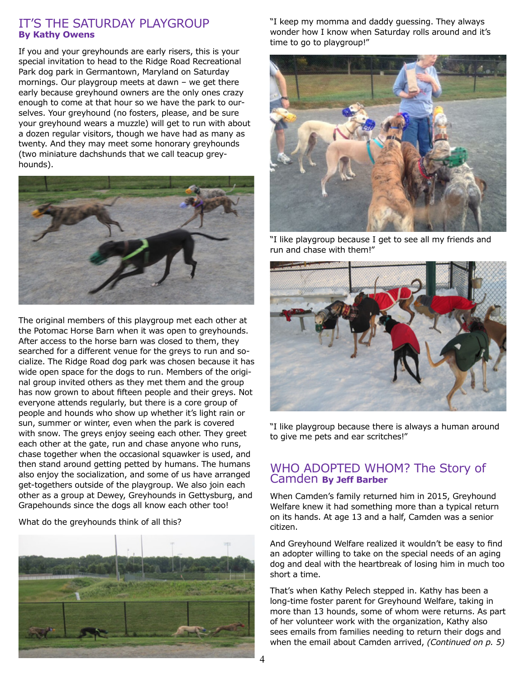## IT'S THE SATURDAY PLAYGROUP **By Kathy Owens**

If you and your greyhounds are early risers, this is your special invitation to head to the Ridge Road Recreational Park dog park in Germantown, Maryland on Saturday mornings. Our playgroup meets at dawn – we get there early because greyhound owners are the only ones crazy enough to come at that hour so we have the park to ourselves. Your greyhound (no fosters, please, and be sure your greyhound wears a muzzle) will get to run with about a dozen regular visitors, though we have had as many as twenty. And they may meet some honorary greyhounds (two miniature dachshunds that we call teacup greyhounds).



The original members of this playgroup met each other at the Potomac Horse Barn when it was open to greyhounds. After access to the horse barn was closed to them, they searched for a different venue for the greys to run and socialize. The Ridge Road dog park was chosen because it has wide open space for the dogs to run. Members of the original group invited others as they met them and the group has now grown to about fifteen people and their greys. Not everyone attends regularly, but there is a core group of people and hounds who show up whether it's light rain or sun, summer or winter, even when the park is covered with snow. The greys enjoy seeing each other. They greet each other at the gate, run and chase anyone who runs, chase together when the occasional squawker is used, and then stand around getting petted by humans. The humans also enjoy the socialization, and some of us have arranged get-togethers outside of the playgroup. We also join each other as a group at Dewey, Greyhounds in Gettysburg, and Grapehounds since the dogs all know each other too!

What do the greyhounds think of all this?



"I keep my momma and daddy guessing. They always wonder how I know when Saturday rolls around and it's time to go to playgroup!"



"I like playgroup because I get to see all my friends and run and chase with them!"



"I like playgroup because there is always a human around to give me pets and ear scritches!"

## WHO ADOPTED WHOM? The Story of Camden **By Jeff Barber**

When Camden's family returned him in 2015, Greyhound Welfare knew it had something more than a typical return on its hands. At age 13 and a half, Camden was a senior citizen.

And Greyhound Welfare realized it wouldn't be easy to find an adopter willing to take on the special needs of an aging dog and deal with the heartbreak of losing him in much too short a time.

That's when Kathy Pelech stepped in. Kathy has been a long-time foster parent for Greyhound Welfare, taking in more than 13 hounds, some of whom were returns. As part of her volunteer work with the organization, Kathy also sees emails from families needing to return their dogs and when the email about Camden arrived, *(Continued on p. 5)*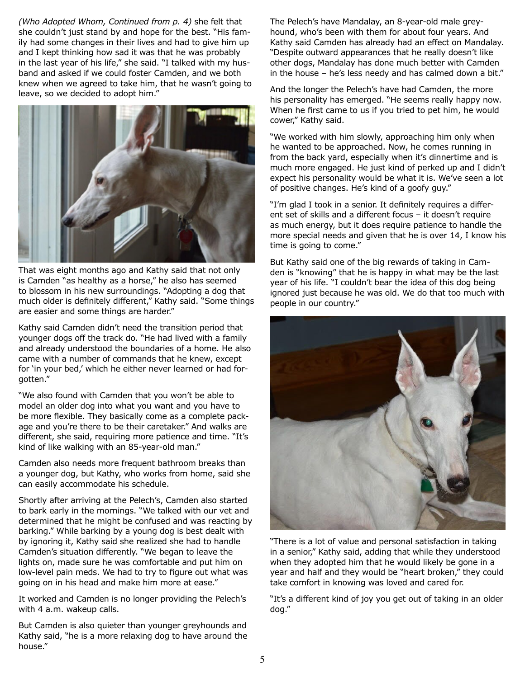*(Who Adopted Whom, Continued from p. 4)* she felt that she couldn't just stand by and hope for the best. "His family had some changes in their lives and had to give him up and I kept thinking how sad it was that he was probably in the last year of his life," she said. "I talked with my husband and asked if we could foster Camden, and we both knew when we agreed to take him, that he wasn't going to leave, so we decided to adopt him."



That was eight months ago and Kathy said that not only is Camden "as healthy as a horse," he also has seemed to blossom in his new surroundings. "Adopting a dog that much older is definitely different," Kathy said. "Some things are easier and some things are harder."

Kathy said Camden didn't need the transition period that younger dogs off the track do. "He had lived with a family and already understood the boundaries of a home. He also came with a number of commands that he knew, except for 'in your bed,' which he either never learned or had forgotten."

"We also found with Camden that you won't be able to model an older dog into what you want and you have to be more flexible. They basically come as a complete package and you're there to be their caretaker." And walks are different, she said, requiring more patience and time. "It's kind of like walking with an 85-year-old man."

Camden also needs more frequent bathroom breaks than a younger dog, but Kathy, who works from home, said she can easily accommodate his schedule.

Shortly after arriving at the Pelech's, Camden also started to bark early in the mornings. "We talked with our vet and determined that he might be confused and was reacting by barking." While barking by a young dog is best dealt with by ignoring it, Kathy said she realized she had to handle Camden's situation differently. "We began to leave the lights on, made sure he was comfortable and put him on low-level pain meds. We had to try to figure out what was going on in his head and make him more at ease."

It worked and Camden is no longer providing the Pelech's with 4 a.m. wakeup calls.

But Camden is also quieter than younger greyhounds and Kathy said, "he is a more relaxing dog to have around the house."

The Pelech's have Mandalay, an 8-year-old male greyhound, who's been with them for about four years. And Kathy said Camden has already had an effect on Mandalay. "Despite outward appearances that he really doesn't like other dogs, Mandalay has done much better with Camden in the house – he's less needy and has calmed down a bit."

And the longer the Pelech's have had Camden, the more his personality has emerged. "He seems really happy now. When he first came to us if you tried to pet him, he would cower," Kathy said.

"We worked with him slowly, approaching him only when he wanted to be approached. Now, he comes running in from the back yard, especially when it's dinnertime and is much more engaged. He just kind of perked up and I didn't expect his personality would be what it is. We've seen a lot of positive changes. He's kind of a goofy guy."

"I'm glad I took in a senior. It definitely requires a different set of skills and a different focus – it doesn't require as much energy, but it does require patience to handle the more special needs and given that he is over 14, I know his time is going to come."

But Kathy said one of the big rewards of taking in Camden is "knowing" that he is happy in what may be the last year of his life. "I couldn't bear the idea of this dog being ignored just because he was old. We do that too much with people in our country."



"There is a lot of value and personal satisfaction in taking in a senior," Kathy said, adding that while they understood when they adopted him that he would likely be gone in a year and half and they would be "heart broken," they could take comfort in knowing was loved and cared for.

"It's a different kind of joy you get out of taking in an older dog."